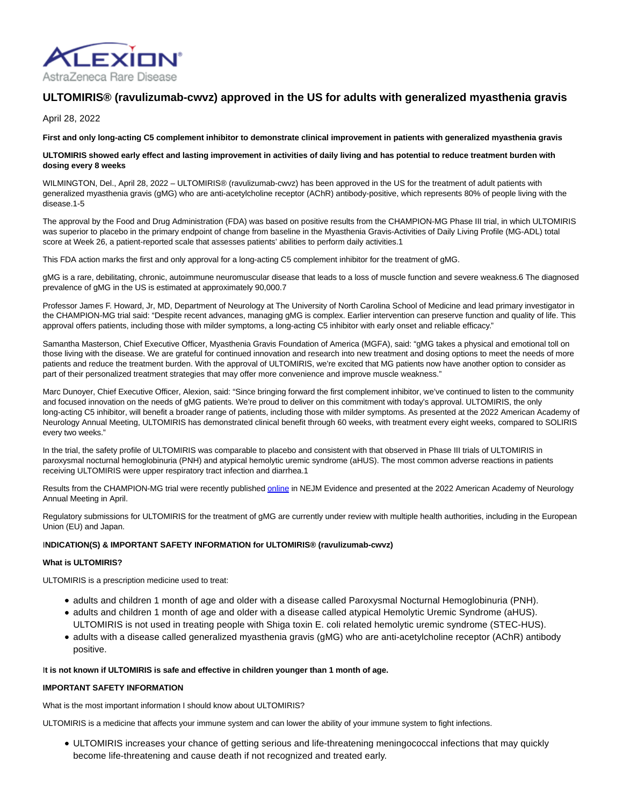

# **ULTOMIRIS® (ravulizumab-cwvz) approved in the US for adults with generalized myasthenia gravis**

April 28, 2022

**First and only long-acting C5 complement inhibitor to demonstrate clinical improvement in patients with generalized myasthenia gravis**

# **ULTOMIRIS showed early effect and lasting improvement in activities of daily living and has potential to reduce treatment burden with dosing every 8 weeks**

WILMINGTON, Del., April 28, 2022 – ULTOMIRIS® (ravulizumab-cwvz) has been approved in the US for the treatment of adult patients with generalized myasthenia gravis (gMG) who are anti-acetylcholine receptor (AChR) antibody-positive, which represents 80% of people living with the disease.1-5

The approval by the Food and Drug Administration (FDA) was based on positive results from the CHAMPION-MG Phase III trial, in which ULTOMIRIS was superior to placebo in the primary endpoint of change from baseline in the Myasthenia Gravis-Activities of Daily Living Profile (MG-ADL) total score at Week 26, a patient-reported scale that assesses patients' abilities to perform daily activities.1

This FDA action marks the first and only approval for a long-acting C5 complement inhibitor for the treatment of gMG.

gMG is a rare, debilitating, chronic, autoimmune neuromuscular disease that leads to a loss of muscle function and severe weakness.6 The diagnosed prevalence of gMG in the US is estimated at approximately 90,000.7

Professor James F. Howard, Jr, MD, Department of Neurology at The University of North Carolina School of Medicine and lead primary investigator in the CHAMPION-MG trial said: "Despite recent advances, managing gMG is complex. Earlier intervention can preserve function and quality of life. This approval offers patients, including those with milder symptoms, a long-acting C5 inhibitor with early onset and reliable efficacy."

Samantha Masterson, Chief Executive Officer, Myasthenia Gravis Foundation of America (MGFA), said: "gMG takes a physical and emotional toll on those living with the disease. We are grateful for continued innovation and research into new treatment and dosing options to meet the needs of more patients and reduce the treatment burden. With the approval of ULTOMIRIS, we're excited that MG patients now have another option to consider as part of their personalized treatment strategies that may offer more convenience and improve muscle weakness."

Marc Dunoyer, Chief Executive Officer, Alexion, said: "Since bringing forward the first complement inhibitor, we've continued to listen to the community and focused innovation on the needs of gMG patients. We're proud to deliver on this commitment with today's approval. ULTOMIRIS, the only long-acting C5 inhibitor, will benefit a broader range of patients, including those with milder symptoms. As presented at the 2022 American Academy of Neurology Annual Meeting, ULTOMIRIS has demonstrated clinical benefit through 60 weeks, with treatment every eight weeks, compared to SOLIRIS every two weeks."

In the trial, the safety profile of ULTOMIRIS was comparable to placebo and consistent with that observed in Phase III trials of ULTOMIRIS in paroxysmal nocturnal hemoglobinuria (PNH) and atypical hemolytic uremic syndrome (aHUS). The most common adverse reactions in patients receiving ULTOMIRIS were upper respiratory tract infection and diarrhea.1

Results from the CHAMPION-MG trial were recently published [online i](https://evidence.nejm.org/doi/full/10.1056/EVIDoa2100066)n NEJM Evidence and presented at the 2022 American Academy of Neurology Annual Meeting in April.

Regulatory submissions for ULTOMIRIS for the treatment of gMG are currently under review with multiple health authorities, including in the European Union (EU) and Japan.

# I**NDICATION(S) & IMPORTANT SAFETY INFORMATION for ULTOMIRIS® (ravulizumab-cwvz)**

# **What is ULTOMIRIS?**

ULTOMIRIS is a prescription medicine used to treat:

- adults and children 1 month of age and older with a disease called Paroxysmal Nocturnal Hemoglobinuria (PNH).
- adults and children 1 month of age and older with a disease called atypical Hemolytic Uremic Syndrome (aHUS). ULTOMIRIS is not used in treating people with Shiga toxin E. coli related hemolytic uremic syndrome (STEC-HUS).
- adults with a disease called generalized myasthenia gravis (gMG) who are anti-acetylcholine receptor (AChR) antibody positive.

# I**t is not known if ULTOMIRIS is safe and effective in children younger than 1 month of age.**

# **IMPORTANT SAFETY INFORMATION**

What is the most important information I should know about ULTOMIRIS?

ULTOMIRIS is a medicine that affects your immune system and can lower the ability of your immune system to fight infections.

ULTOMIRIS increases your chance of getting serious and life-threatening meningococcal infections that may quickly become life-threatening and cause death if not recognized and treated early.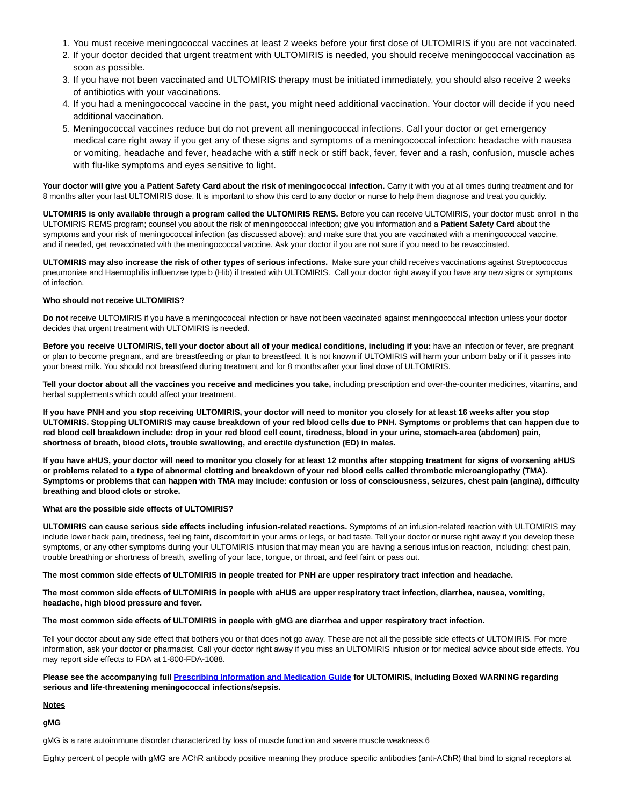- 1. You must receive meningococcal vaccines at least 2 weeks before your first dose of ULTOMIRIS if you are not vaccinated.
- 2. If your doctor decided that urgent treatment with ULTOMIRIS is needed, you should receive meningococcal vaccination as soon as possible.
- If you have not been vaccinated and ULTOMIRIS therapy must be initiated immediately, you should also receive 2 weeks 3. of antibiotics with your vaccinations.
- 4. If you had a meningococcal vaccine in the past, you might need additional vaccination. Your doctor will decide if you need additional vaccination.
- 5. Meningococcal vaccines reduce but do not prevent all meningococcal infections. Call your doctor or get emergency medical care right away if you get any of these signs and symptoms of a meningococcal infection: headache with nausea or vomiting, headache and fever, headache with a stiff neck or stiff back, fever, fever and a rash, confusion, muscle aches with flu-like symptoms and eyes sensitive to light.

Your doctor will give you a Patient Safety Card about the risk of meningococcal infection. Carry it with you at all times during treatment and for 8 months after your last ULTOMIRIS dose. It is important to show this card to any doctor or nurse to help them diagnose and treat you quickly.

**ULTOMIRIS is only available through a program called the ULTOMIRIS REMS.** Before you can receive ULTOMIRIS, your doctor must: enroll in the ULTOMIRIS REMS program; counsel you about the risk of meningococcal infection; give you information and a **Patient Safety Card** about the symptoms and your risk of meningococcal infection (as discussed above); and make sure that you are vaccinated with a meningococcal vaccine, and if needed, get revaccinated with the meningococcal vaccine. Ask your doctor if you are not sure if you need to be revaccinated.

**ULTOMIRIS may also increase the risk of other types of serious infections.** Make sure your child receives vaccinations against Streptococcus pneumoniae and Haemophilis influenzae type b (Hib) if treated with ULTOMIRIS. Call your doctor right away if you have any new signs or symptoms of infection.

# **Who should not receive ULTOMIRIS?**

**Do not** receive ULTOMIRIS if you have a meningococcal infection or have not been vaccinated against meningococcal infection unless your doctor decides that urgent treatment with ULTOMIRIS is needed.

**Before you receive ULTOMIRIS, tell your doctor about all of your medical conditions, including if you:** have an infection or fever, are pregnant or plan to become pregnant, and are breastfeeding or plan to breastfeed. It is not known if ULTOMIRIS will harm your unborn baby or if it passes into your breast milk. You should not breastfeed during treatment and for 8 months after your final dose of ULTOMIRIS.

**Tell your doctor about all the vaccines you receive and medicines you take,** including prescription and over-the-counter medicines, vitamins, and herbal supplements which could affect your treatment.

**If you have PNH and you stop receiving ULTOMIRIS, your doctor will need to monitor you closely for at least 16 weeks after you stop ULTOMIRIS. Stopping ULTOMIRIS may cause breakdown of your red blood cells due to PNH. Symptoms or problems that can happen due to red blood cell breakdown include: drop in your red blood cell count, tiredness, blood in your urine, stomach-area (abdomen) pain, shortness of breath, blood clots, trouble swallowing, and erectile dysfunction (ED) in males.**

**If you have aHUS, your doctor will need to monitor you closely for at least 12 months after stopping treatment for signs of worsening aHUS or problems related to a type of abnormal clotting and breakdown of your red blood cells called thrombotic microangiopathy (TMA). Symptoms or problems that can happen with TMA may include: confusion or loss of consciousness, seizures, chest pain (angina), difficulty breathing and blood clots or stroke.**

# **What are the possible side effects of ULTOMIRIS?**

**ULTOMIRIS can cause serious side effects including infusion-related reactions.** Symptoms of an infusion-related reaction with ULTOMIRIS may include lower back pain, tiredness, feeling faint, discomfort in your arms or legs, or bad taste. Tell your doctor or nurse right away if you develop these symptoms, or any other symptoms during your ULTOMIRIS infusion that may mean you are having a serious infusion reaction, including: chest pain, trouble breathing or shortness of breath, swelling of your face, tongue, or throat, and feel faint or pass out.

#### **The most common side effects of ULTOMIRIS in people treated for PNH are upper respiratory tract infection and headache.**

**The most common side effects of ULTOMIRIS in people with aHUS are upper respiratory tract infection, diarrhea, nausea, vomiting, headache, high blood pressure and fever.**

# **The most common side effects of ULTOMIRIS in people with gMG are diarrhea and upper respiratory tract infection.**

Tell your doctor about any side effect that bothers you or that does not go away. These are not all the possible side effects of ULTOMIRIS. For more information, ask your doctor or pharmacist. Call your doctor right away if you miss an ULTOMIRIS infusion or for medical advice about side effects. You may report side effects to FDA at 1-800-FDA-1088.

# **Please see the accompanying full [Prescribing Information and Medication Guide f](https://alexion.com/Documents/Ultomiris_USPI.pdf)or ULTOMIRIS, including Boxed WARNING regarding serious and life-threatening meningococcal infections/sepsis.**

# **Notes**

**gMG**

gMG is a rare autoimmune disorder characterized by loss of muscle function and severe muscle weakness.6

Eighty percent of people with gMG are AChR antibody positive meaning they produce specific antibodies (anti-AChR) that bind to signal receptors at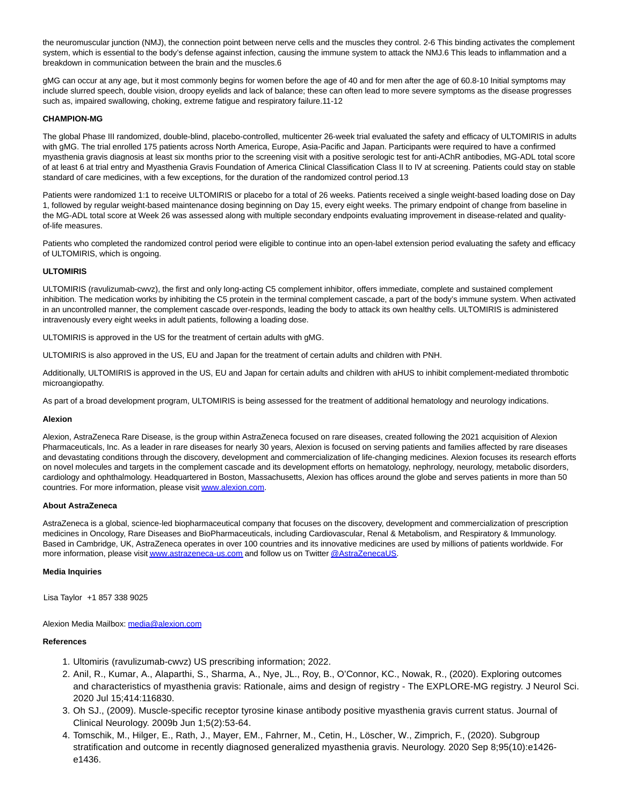the neuromuscular junction (NMJ), the connection point between nerve cells and the muscles they control. 2-6 This binding activates the complement system, which is essential to the body's defense against infection, causing the immune system to attack the NMJ.6 This leads to inflammation and a breakdown in communication between the brain and the muscles.6

gMG can occur at any age, but it most commonly begins for women before the age of 40 and for men after the age of 60.8-10 Initial symptoms may include slurred speech, double vision, droopy eyelids and lack of balance; these can often lead to more severe symptoms as the disease progresses such as, impaired swallowing, choking, extreme fatigue and respiratory failure.11-12

# **CHAMPION-MG**

The global Phase III randomized, double-blind, placebo-controlled, multicenter 26-week trial evaluated the safety and efficacy of ULTOMIRIS in adults with gMG. The trial enrolled 175 patients across North America, Europe, Asia-Pacific and Japan. Participants were required to have a confirmed myasthenia gravis diagnosis at least six months prior to the screening visit with a positive serologic test for anti-AChR antibodies, MG-ADL total score of at least 6 at trial entry and Myasthenia Gravis Foundation of America Clinical Classification Class II to IV at screening. Patients could stay on stable standard of care medicines, with a few exceptions, for the duration of the randomized control period.13

Patients were randomized 1:1 to receive ULTOMIRIS or placebo for a total of 26 weeks. Patients received a single weight-based loading dose on Day 1, followed by regular weight-based maintenance dosing beginning on Day 15, every eight weeks. The primary endpoint of change from baseline in the MG-ADL total score at Week 26 was assessed along with multiple secondary endpoints evaluating improvement in disease-related and qualityof-life measures.

Patients who completed the randomized control period were eligible to continue into an open-label extension period evaluating the safety and efficacy of ULTOMIRIS, which is ongoing.

# **ULTOMIRIS**

ULTOMIRIS (ravulizumab-cwvz), the first and only long-acting C5 complement inhibitor, offers immediate, complete and sustained complement inhibition. The medication works by inhibiting the C5 protein in the terminal complement cascade, a part of the body's immune system. When activated in an uncontrolled manner, the complement cascade over-responds, leading the body to attack its own healthy cells. ULTOMIRIS is administered intravenously every eight weeks in adult patients, following a loading dose.

ULTOMIRIS is approved in the US for the treatment of certain adults with gMG.

ULTOMIRIS is also approved in the US, EU and Japan for the treatment of certain adults and children with PNH.

Additionally, ULTOMIRIS is approved in the US, EU and Japan for certain adults and children with aHUS to inhibit complement-mediated thrombotic microangiopathy.

As part of a broad development program, ULTOMIRIS is being assessed for the treatment of additional hematology and neurology indications.

# **Alexion**

Alexion, AstraZeneca Rare Disease, is the group within AstraZeneca focused on rare diseases, created following the 2021 acquisition of Alexion Pharmaceuticals, Inc. As a leader in rare diseases for nearly 30 years, Alexion is focused on serving patients and families affected by rare diseases and devastating conditions through the discovery, development and commercialization of life-changing medicines. Alexion focuses its research efforts on novel molecules and targets in the complement cascade and its development efforts on hematology, nephrology, neurology, metabolic disorders, cardiology and ophthalmology. Headquartered in Boston, Massachusetts, Alexion has offices around the globe and serves patients in more than 50 countries. For more information, please visi[t www.alexion.com.](https://alexion.com/)

#### **About AstraZeneca**

AstraZeneca is a global, science-led biopharmaceutical company that focuses on the discovery, development and commercialization of prescription medicines in Oncology, Rare Diseases and BioPharmaceuticals, including Cardiovascular, Renal & Metabolism, and Respiratory & Immunology. Based in Cambridge, UK, AstraZeneca operates in over 100 countries and its innovative medicines are used by millions of patients worldwide. For more information, please visi[t www.astrazeneca-us.com a](http://www.astrazeneca-us.com/)nd follow us on Twitte[r @AstraZenecaUS.](https://twitter.com/AstraZenecaUS)

#### **Media Inquiries**

Lisa Taylor +1 857 338 9025

# Alexion Media Mailbox: [media@alexion.com](mailto:media@alexion.com)

# **References**

- 1. Ultomiris (ravulizumab-cwvz) US prescribing information; 2022.
- 2. Anil, R., Kumar, A., Alaparthi, S., Sharma, A., Nye, JL., Roy, B., O'Connor, KC., Nowak, R., (2020). Exploring outcomes and characteristics of myasthenia gravis: Rationale, aims and design of registry - The EXPLORE-MG registry. J Neurol Sci. 2020 Jul 15;414:116830.
- 3. Oh SJ., (2009). Muscle-specific receptor tyrosine kinase antibody positive myasthenia gravis current status. Journal of Clinical Neurology. 2009b Jun 1;5(2):53-64.
- 4. Tomschik, M., Hilger, E., Rath, J., Mayer, EM., Fahrner, M., Cetin, H., Löscher, W., Zimprich, F., (2020). Subgroup stratification and outcome in recently diagnosed generalized myasthenia gravis. Neurology. 2020 Sep 8;95(10):e1426 e1436.